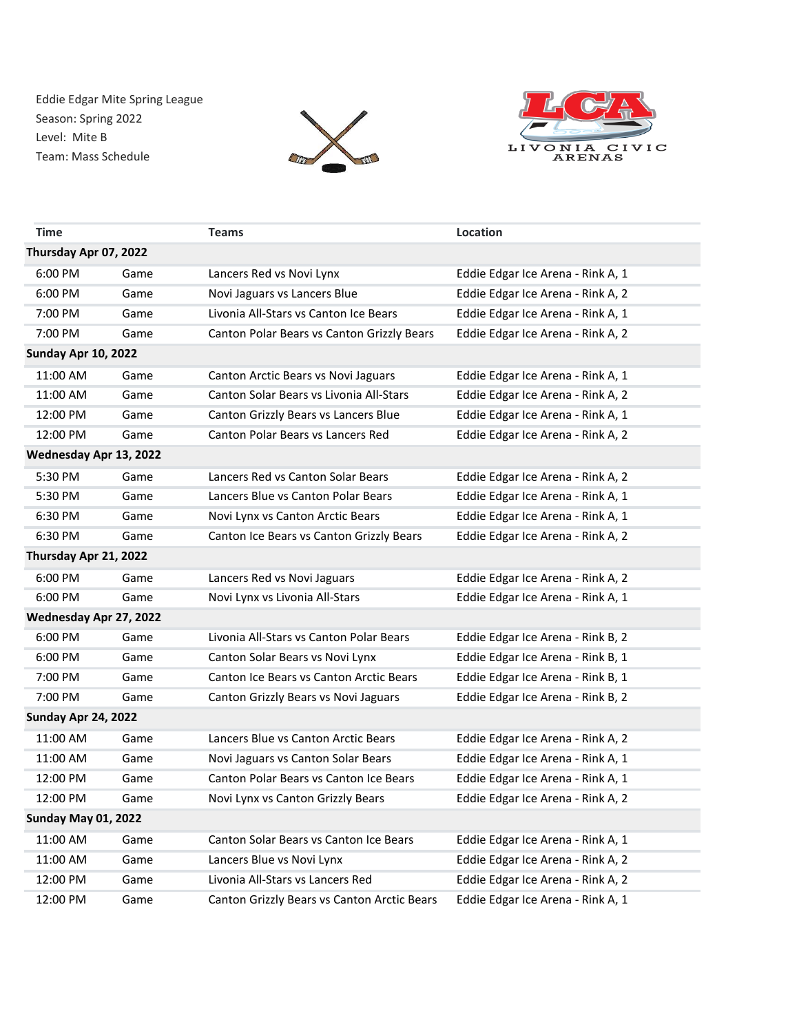Eddie Edgar Mite Spring League Season: Spring 2022 Level: Mite B Team: Mass Schedule





| <b>Time</b>                |      | <b>Teams</b>                                | Location                          |  |  |
|----------------------------|------|---------------------------------------------|-----------------------------------|--|--|
| Thursday Apr 07, 2022      |      |                                             |                                   |  |  |
| 6:00 PM                    | Game | Lancers Red vs Novi Lynx                    | Eddie Edgar Ice Arena - Rink A, 1 |  |  |
| 6:00 PM                    | Game | Novi Jaguars vs Lancers Blue                | Eddie Edgar Ice Arena - Rink A, 2 |  |  |
| 7:00 PM                    | Game | Livonia All-Stars vs Canton Ice Bears       | Eddie Edgar Ice Arena - Rink A, 1 |  |  |
| 7:00 PM                    | Game | Canton Polar Bears vs Canton Grizzly Bears  | Eddie Edgar Ice Arena - Rink A, 2 |  |  |
| Sunday Apr 10, 2022        |      |                                             |                                   |  |  |
| 11:00 AM                   | Game | Canton Arctic Bears vs Novi Jaguars         | Eddie Edgar Ice Arena - Rink A, 1 |  |  |
| 11:00 AM                   | Game | Canton Solar Bears vs Livonia All-Stars     | Eddie Edgar Ice Arena - Rink A, 2 |  |  |
| 12:00 PM                   | Game | Canton Grizzly Bears vs Lancers Blue        | Eddie Edgar Ice Arena - Rink A, 1 |  |  |
| 12:00 PM                   | Game | Canton Polar Bears vs Lancers Red           | Eddie Edgar Ice Arena - Rink A, 2 |  |  |
| Wednesday Apr 13, 2022     |      |                                             |                                   |  |  |
| 5:30 PM                    | Game | Lancers Red vs Canton Solar Bears           | Eddie Edgar Ice Arena - Rink A, 2 |  |  |
| 5:30 PM                    | Game | Lancers Blue vs Canton Polar Bears          | Eddie Edgar Ice Arena - Rink A, 1 |  |  |
| 6:30 PM                    | Game | Novi Lynx vs Canton Arctic Bears            | Eddie Edgar Ice Arena - Rink A, 1 |  |  |
| 6:30 PM                    | Game | Canton Ice Bears vs Canton Grizzly Bears    | Eddie Edgar Ice Arena - Rink A, 2 |  |  |
| Thursday Apr 21, 2022      |      |                                             |                                   |  |  |
| 6:00 PM                    | Game | Lancers Red vs Novi Jaguars                 | Eddie Edgar Ice Arena - Rink A, 2 |  |  |
| 6:00 PM                    | Game | Novi Lynx vs Livonia All-Stars              | Eddie Edgar Ice Arena - Rink A, 1 |  |  |
| Wednesday Apr 27, 2022     |      |                                             |                                   |  |  |
| 6:00 PM                    | Game | Livonia All-Stars vs Canton Polar Bears     | Eddie Edgar Ice Arena - Rink B, 2 |  |  |
| 6:00 PM                    | Game | Canton Solar Bears vs Novi Lynx             | Eddie Edgar Ice Arena - Rink B, 1 |  |  |
| 7:00 PM                    | Game | Canton Ice Bears vs Canton Arctic Bears     | Eddie Edgar Ice Arena - Rink B, 1 |  |  |
| 7:00 PM                    | Game | Canton Grizzly Bears vs Novi Jaguars        | Eddie Edgar Ice Arena - Rink B, 2 |  |  |
| Sunday Apr 24, 2022        |      |                                             |                                   |  |  |
| 11:00 AM                   | Game | Lancers Blue vs Canton Arctic Bears         | Eddie Edgar Ice Arena - Rink A, 2 |  |  |
| 11:00 AM                   | Game | Novi Jaguars vs Canton Solar Bears          | Eddie Edgar Ice Arena - Rink A, 1 |  |  |
| 12:00 PM                   | Game | Canton Polar Bears vs Canton Ice Bears      | Eddie Edgar Ice Arena - Rink A, 1 |  |  |
| 12:00 PM                   | Game | Novi Lynx vs Canton Grizzly Bears           | Eddie Edgar Ice Arena - Rink A, 2 |  |  |
| <b>Sunday May 01, 2022</b> |      |                                             |                                   |  |  |
| 11:00 AM                   | Game | Canton Solar Bears vs Canton Ice Bears      | Eddie Edgar Ice Arena - Rink A, 1 |  |  |
| 11:00 AM                   | Game | Lancers Blue vs Novi Lynx                   | Eddie Edgar Ice Arena - Rink A, 2 |  |  |
| 12:00 PM                   | Game | Livonia All-Stars vs Lancers Red            | Eddie Edgar Ice Arena - Rink A, 2 |  |  |
| 12:00 PM                   | Game | Canton Grizzly Bears vs Canton Arctic Bears | Eddie Edgar Ice Arena - Rink A, 1 |  |  |